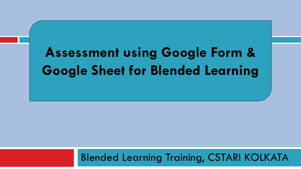# **Assessment using Google Form & Google Sheet for Blended Learning**

#### Blended Learning Training, CSTARI KOLKATA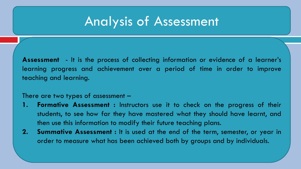# Analysis of Assessment

**Assessment** - It is the process of collecting information or evidence of a learner's learning progress and achievement over a period of time in order to improve teaching and learning.

#### There are two types of assessment –

- **1. Formative Assessment :** Instructors use it to check on the progress of their students, to see how far they have mastered what they should have learnt, and then use this information to modify their future teaching plans.
- **2. Summative Assessment :** It is used at the end of the term, semester, or year in order to measure what has been achieved both by groups and by individuals.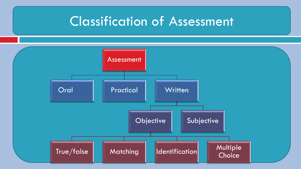# Classification of Assessment

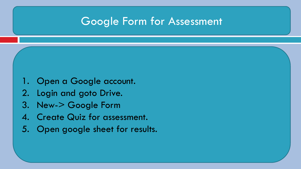#### Google Form for Assessment

- 1. Open a Google account.
- 2. Login and goto Drive.
- 3. New-> Google Form
- 4. Create Quiz for assessment.
- 5. Open google sheet for results.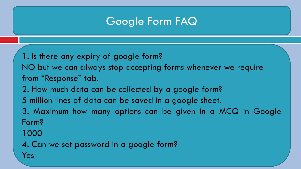1. Is there any expiry of google form? NO but we can always stop accepting forms whenever we require from "Response" tab. 2. How much data can be collected by a google form? 5 million lines of data can be saved in a google sheet. 3. Maximum how many options can be given in a MCQ in Google Form? 1000

4. Can we set password in a google form?

Yes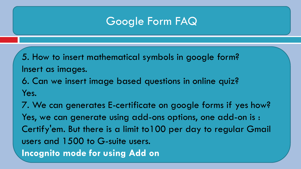5. How to insert mathematical symbols in google form? Insert as images.

6. Can we insert image based questions in online quiz? Yes.

7. We can generates E-certificate on google forms if yes how? Yes, we can generate using add-ons options, one add-on is : Certify'em. But there is a limit to100 per day to regular Gmail users and 1500 to G-suite users. **Incognito mode for using Add on**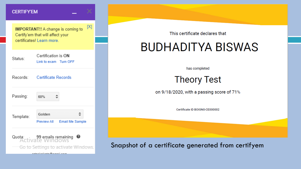#### **CERTIFY'EM**

 $[{\sf X}]$ **IMPORTANT!!** A change is coming to Certify'em that will affect your certificates! Learn more.

| Status:   | Certification is ON<br>Link to exam Turn OFF    |
|-----------|-------------------------------------------------|
| Records:  | <b>Certificate Records</b>                      |
| Passing:  | 60%                                             |
| Template: | Golden<br>Preview All<br><b>Email Me Sample</b> |
| Quota:    | 99 emails remaining<br>Ø                        |

Go to Settings to activate Windows:

مستمر المستملك مقميا المناشدهم

This certificate declares that

## **BUDHADITYA BISWAS**

has completed

**Theory Test** 

on 9/18/2020, with a passing score of 71%

Certificate ID BOIGNO-CE000002

Snapshot of a certificate generated from certifyem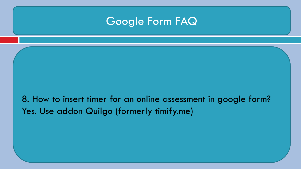8. How to insert timer for an online assessment in google form? Yes. Use addon Quilgo (formerly timify.me)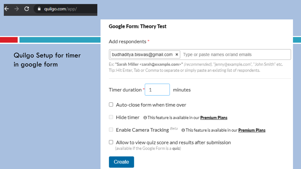

#### Quilgo Setup for timer in google form

#### **Google Form: Theory Test**

Add respondents \*

budhaditya.biswas@gmail.com  $\vert \mathbf{x} \vert \vert$ Type or paste names or/and emails

Ex: "Sarah Miller <sarah@example.com>" (recommended), "jenny@example.com", "John Smith" etc. Tip: Hit Enter, Tab or Comma to separate or simply paste an existing list of respondents.

Timer duration<sup>\*</sup> 1 minutes

Auto-close form when time over

Hide timer 
<sup>0</sup> This feature is available in our **Premium Plans** 

Enable Camera Tracking Beta 
<sup>Beta</sup> O This feature is available in our **Premium Plans** 

Allow to view quiz score and results after submission (available if the Google Form is a quiz)

**Create**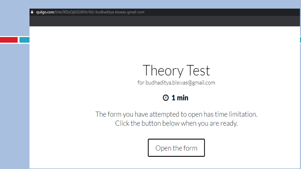# Theory Test

for budhaditya.biswas@gmail.com

#### $Q_1$  min

The form you have attempted to open has time limitation. Click the button below when you are ready.

Open the form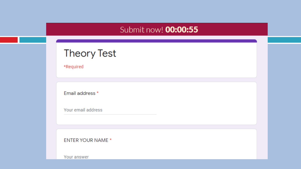#### Submit now! **00:00:55**

#### **Theory Test**

\*Required

Email address \*

Your email address

**ENTER YOUR NAME \*** 

Your answer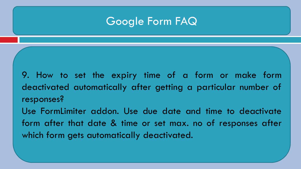9. How to set the expiry time of a form or make form deactivated automatically after getting a particular number of responses?

Use FormLimiter addon. Use due date and time to deactivate form after that date & time or set max. no of responses after which form gets automatically deactivated.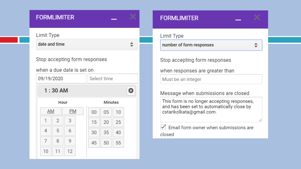| <b>FORMLIMITER</b> |  |  |  |
|--------------------|--|--|--|
|                    |  |  |  |

|                                                            |      | <b>FORMLIMITER</b> |           |         |             |    |    |   |
|------------------------------------------------------------|------|--------------------|-----------|---------|-------------|----|----|---|
| Limit Type                                                 |      |                    |           |         |             |    |    |   |
|                                                            |      | date and time      |           |         |             |    |    |   |
| Stop accepting form responses<br>when a due date is set on |      |                    |           |         |             |    |    |   |
| 09/19/2020                                                 |      |                    |           |         | Select time |    |    |   |
|                                                            |      | $1:30$ AM          |           |         |             |    |    | O |
|                                                            | Hour |                    |           | Minutes |             |    |    |   |
|                                                            | AM   |                    | <b>PM</b> |         | 00          | 05 | 10 |   |
|                                                            | 1    | $\overline{2}$     | 3         |         | 15          | 20 | 25 |   |
|                                                            | 4    | 5                  | 6         |         | 30          | 35 | 40 |   |
|                                                            | 7    | 8                  | 9         |         | 45          | 50 | 55 |   |
|                                                            | 10   | 11                 | 12        |         |             |    |    |   |

| <b>FORMLIMITER</b>                                                                                                    |   |
|-----------------------------------------------------------------------------------------------------------------------|---|
| Limit Type                                                                                                            |   |
| number of form responses                                                                                              |   |
| Stop accepting form responses                                                                                         |   |
| when responses are greater than                                                                                       |   |
| Must be an integer                                                                                                    |   |
| Message when submissions are closed                                                                                   |   |
| This form is no longer accepting responses,<br>and has been set to automatically close by<br>cstarikolkata@gmail.com. | h |
| Email form owner when submissions are<br>closed                                                                       |   |
|                                                                                                                       |   |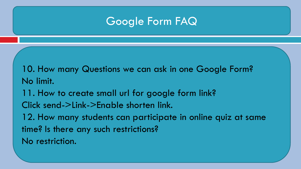10. How many Questions we can ask in one Google Form? No limit.

11. How to create small url for google form link?

Click send->Link->Enable shorten link.

12. How many students can participate in online quiz at same time? Is there any such restrictions?

No restriction.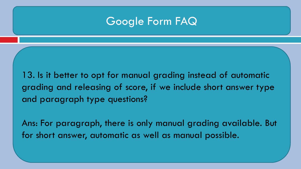13. Is it better to opt for manual grading instead of automatic grading and releasing of score, if we include short answer type and paragraph type questions?

Ans: For paragraph, there is only manual grading available. But for short answer, automatic as well as manual possible.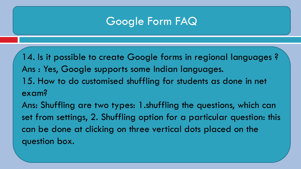14. Is it possible to create Google forms in regional languages ? Ans : Yes, Google supports some Indian languages. 15. How to do customised shuffling for students as done in net exam?

Ans: Shuffling are two types: 1.shuffling the questions, which can set from settings, 2. Shuffling option for a particular question: this can be done at clicking on three vertical dots placed on the question box.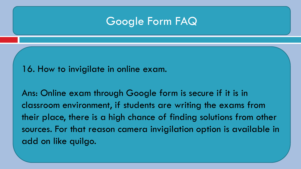16. How to invigilate in online exam.

Ans: Online exam through Google form is secure if it is in classroom environment, if students are writing the exams from their place, there is a high chance of finding solutions from other sources. For that reason camera invigilation option is available in add on like quilgo.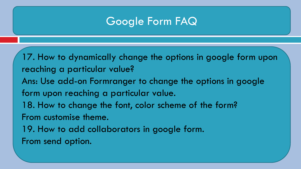17. How to dynamically change the options in google form upon reaching a particular value? Ans: Use add-on Formranger to change the options in google form upon reaching a particular value. 18. How to change the font, color scheme of the form? From customise theme. 19. How to add collaborators in google form.

From send option.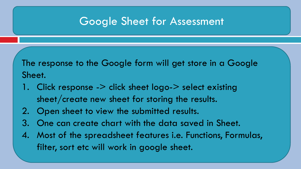#### Google Sheet for Assessment

The response to the Google form will get store in a Google Sheet.

- 1. Click response -> click sheet logo-> select existing sheet/create new sheet for storing the results.
- 2. Open sheet to view the submitted results.
- 3. One can create chart with the data saved in Sheet.
- 4. Most of the spreadsheet features i.e. Functions, Formulas, filter, sort etc will work in google sheet.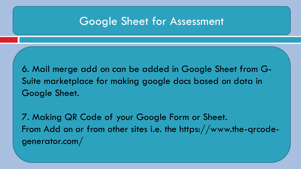#### Google Sheet for Assessment

6. Mail merge add on can be added in Google Sheet from G-Suite marketplace for making google docs based on data in Google Sheet.

7. Making QR Code of your Google Form or Sheet. From Add on or from other sites i.e. the https://www.the-qrcodegenerator.com/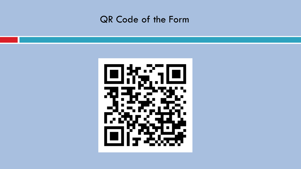#### QR Code of the Form

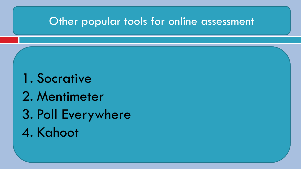#### Other popular tools for online assessment

1. Socrative 2. Mentimeter 3. Poll Everywhere 4. Kahoot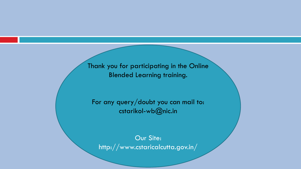Thank you for participating in the Online Blended Learning training.

For any query/doubt you can mail to: cstarikol-wb@nic.in

Our Site: http://www.cstaricalcutta.gov.in/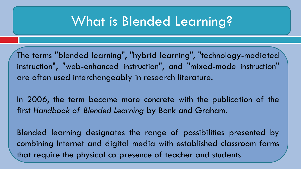# What is Blended Learning?

The terms "blended learning", "hybrid learning", "technology-mediated instruction", "web-enhanced instruction", and "mixed-mode instruction" are often used interchangeably in research literature.

In 2006, the term became more concrete with the publication of the first *Handbook of Blended Learning* by Bonk and Graham.

Blended learning designates the range of possibilities presented by combining Internet and digital media with established classroom forms that require the physical co‐presence of teacher and students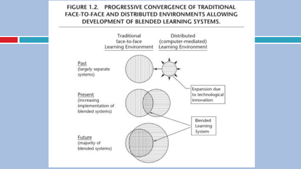#### FIGURE 1.2. PROGRESSIVE CONVERGENCE OF TRADITIONAL FACE-TO-FACE AND DISTRIBUTED ENVIRONMENTS ALLOWING DEVELOPMENT OF BLENDED LEARNING SYSTEMS.

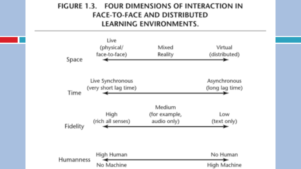#### FIGURE 1.3. FOUR DIMENSIONS OF INTERACTION IN **FACE-TO-FACE AND DISTRIBUTED LEARNING ENVIRONMENTS.**

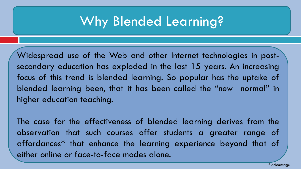# Why Blended Learning?

Widespread use of the Web and other Internet technologies in postsecondary education has exploded in the last 15 years. An increasing focus of this trend is blended learning. So popular has the uptake of blended learning been, that it has been called the "new normal" in higher education teaching.

The case for the effectiveness of blended learning derives from the observation that such courses offer students a greater range of affordances\* that enhance the learning experience beyond that of either online or face-to-face modes alone.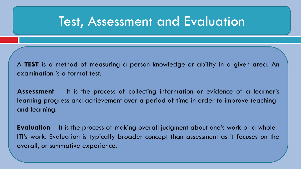## Test, Assessment and Evaluation

A **TEST** is a method of measuring a person knowledge or ability in a given area. An examination is a formal test.

**Assessment** - It is the process of collecting information or evidence of a learner's learning progress and achievement over a period of time in order to improve teaching and learning.

**Evaluation** - It is the process of making overall judgment about one's work or a whole ITI's work. Evaluation is typically broader concept than assessment as it focuses on the overall, or summative experience.